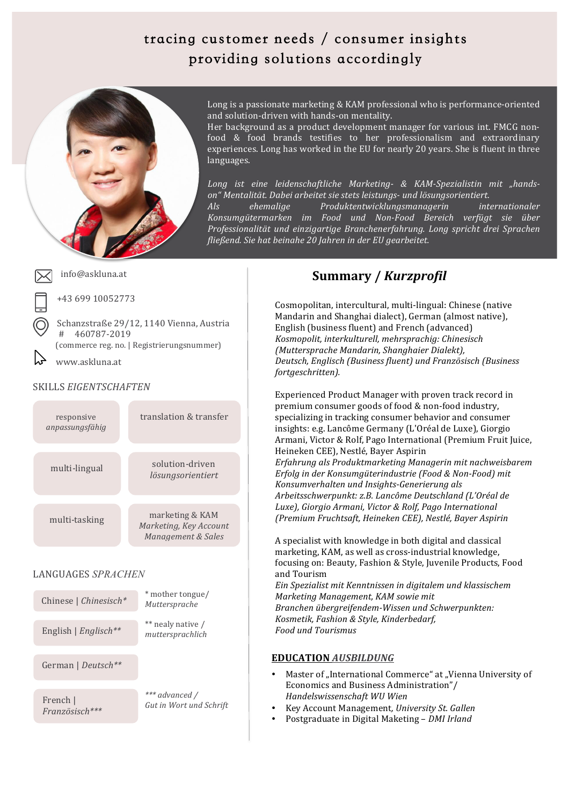## tracing customer needs / consumer insights providing solutions accordingly



Long is a passionate marketing & KAM professional who is performance-oriented and solution-driven with hands-on mentality.

Her background as a product development manager for various int. FMCG nonfood & food brands testifies to her professionalism and extraordinary experiences. Long has worked in the EU for nearly 20 years. She is fluent in three languages.

*Long ist eine leidenschaftliche Marketing- & KAM-Spezialistin mit "handson"+Mentalität.+Dabei+arbeitet+sie+stets+leistungsN und+lösungsorientiert.+*

*Als+ ehemalige+ Produktentwicklungsmanagerin+ internationaler+ Konsumgütermarken im+ Food+ und+ NonNFood+ Bereich verfügt+ sie+ über+ Professionalität+ und+ einzigartige+ Branchenerfahrung.+ Long+ spricht+ drei+ Sprachen+ fließend.+Sie+hat+beinahe+20+Jahren+in+der+EU+gearbeitet.+*

#### info@askluna.at

+43%699%10052773

Schanzstraße 29/12, 1140 Vienna, Austria #%%%%460787F2019 (commerce reg. no. | Registrierungsnummer)

%%%www.askluna.at

#### SKILLS *EIGENTSCHAFTEN*

| responsive<br>anpassungsfähig               | translation & transfer                                          |
|---------------------------------------------|-----------------------------------------------------------------|
| multi-lingual                               | solution-driven<br>lösungsorientiert                            |
| multi-tasking                               | marketing & KAM<br>Marketing, Key Account<br>Management & Sales |
| LANGUAGES SPRACHEN<br>Chinese   Chinesisch* | * mother tongue/<br>Muttorenracho                               |

German%|%*Deutsch\*\** English%| *Englisch\*\** French | *Muttersprache* \*\* nealy native / *muttersprachlich \*\*\*+advanced /*

Gut in Wort und Schrift

**S"u"m"m"a"r"y/"** *Französisch\*\*\**

### **Summary /** *Kurzprofil*

Cosmopolitan, intercultural, multi-lingual: Chinese (native Mandarin and Shanghai dialect), German (almost native), English (business fluent) and French (advanced) *Kosmopolit,+interkulturell,+mehrsprachig:+Chinesisch+ (Muttersprache+Mandarin,+Shanghaier+Dialekt), Deutsch,+Englisch+(Business+fluent)+und+Französisch+(Business+ fortgeschritten).*

Experienced Product Manager with proven track record in premium consumer goods of food & non-food industry, specializing in tracking consumer behavior and consumer insights: e.g. Lancôme Germany (L'Oréal de Luxe), Giorgio Armani, Victor & Rolf, Pago International (Premium Fruit Juice, Heineken CEE), Nestlé, Bayer Aspirin *Erfahrung als+Produktmarketing+Managerin+mit+nachweisbarem+ Erfolg in der Konsumgüterindustrie (Food & Non-Food) mit* Konsumverhalten und Insights-Generierung als *Arbeitsschwerpunkt:+z.B.+Lancôme Deutschland (L'Oréal+de+ Luxe),+Giorgio+Armani,+Victor+&+Rolf,+Pago International+ (Premium+Fruchtsaft,+Heineken+CEE),+Nestlé,+Bayer+Aspirin+*

A specialist with knowledge in both digital and classical marketing, KAM, as well as cross-industrial knowledge, focusing on: Beauty, Fashion & Style, Juvenile Products, Food and Tourism *Ein+Spezialist+mit+Kenntnissen+in+digitalem+und+klassischem+ Marketing+Management,+KAM sowie+mit*

*Branchen* übergreifendem-Wissen und Schwerpunkten: *Kosmetik,+Fashion+&+Style,+Kinderbedarf, Food+und+Tourismus*

### **EDUCATION** *AUSBILDUNG*

- Master of "International Commerce" at "Vienna University of Economics and Business Administration"/ *Handelswissenschaft+WU+Wien+*
- Key%Account%Management*,+University+St.+Gallen*
- Postgraduate%in%Digital%Maketing%– *DMI+Irland*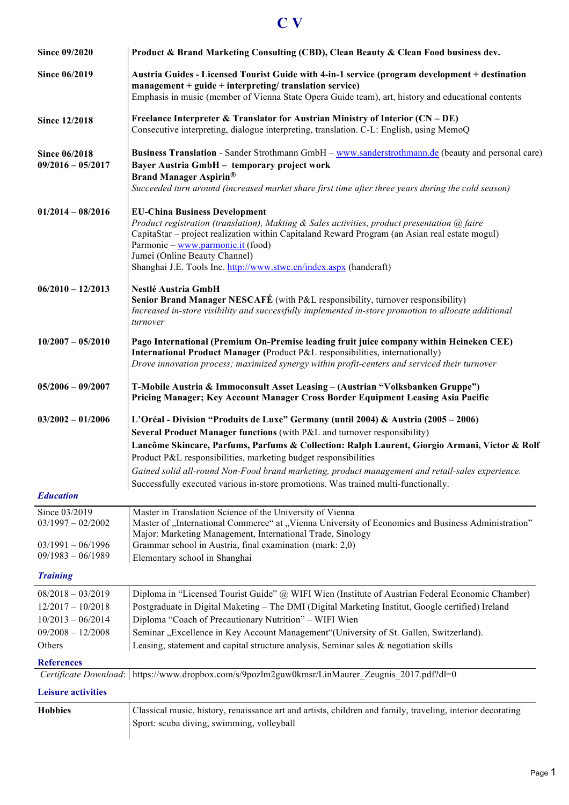# **C V**

| <b>Since 09/2020</b>                        | Product & Brand Marketing Consulting (CBD), Clean Beauty & Clean Food business dev.                                                                                                                                                                                                                                                                                                                                                                                                                                          |
|---------------------------------------------|------------------------------------------------------------------------------------------------------------------------------------------------------------------------------------------------------------------------------------------------------------------------------------------------------------------------------------------------------------------------------------------------------------------------------------------------------------------------------------------------------------------------------|
| Since 06/2019                               | Austria Guides - Licensed Tourist Guide with 4-in-1 service (program development + destination<br>$m$ anagement + guide + interpreting/ translation service)<br>Emphasis in music (member of Vienna State Opera Guide team), art, history and educational contents                                                                                                                                                                                                                                                           |
| <b>Since 12/2018</b>                        | Freelance Interpreter & Translator for Austrian Ministry of Interior $(CN - DE)$<br>Consecutive interpreting, dialogue interpreting, translation. C-L: English, using MemoQ                                                                                                                                                                                                                                                                                                                                                  |
| <b>Since 06/2018</b><br>$09/2016 - 05/2017$ | Business Translation - Sander Strothmann GmbH – www.sanderstrothmann.de (beauty and personal care)<br>Bayer Austria GmbH - temporary project work<br><b>Brand Manager Aspirin®</b><br>Succeeded turn around (increased market share first time after three years during the cold season)                                                                                                                                                                                                                                     |
| $01/2014 - 08/2016$                         | <b>EU-China Business Development</b><br>Product registration (translation), Makting & Sales activities, product presentation @ faire<br>CapitaStar – project realization within Capitaland Reward Program (an Asian real estate mogul)<br>Parmonie – www.parmonie.it (food)<br>Jumei (Online Beauty Channel)<br>Shanghai J.E. Tools Inc. http://www.stwc.cn/index.aspx (handcraft)                                                                                                                                           |
| $06/2010 - 12/2013$                         | <b>Nestlé Austria GmbH</b><br><b>Senior Brand Manager NESCAFÉ</b> (with P&L responsibility, turnover responsibility)<br>Increased in-store visibility and successfully implemented in-store promotion to allocate additional<br>turnover                                                                                                                                                                                                                                                                                     |
| $10/2007 - 05/2010$                         | Pago International (Premium On-Premise leading fruit juice company within Heineken CEE)<br>International Product Manager (Product P&L responsibilities, internationally)<br>Drove innovation process; maximized synergy within profit-centers and serviced their turnover                                                                                                                                                                                                                                                    |
| $05/2006 - 09/2007$                         | T-Mobile Austria & Immoconsult Asset Leasing - (Austrian "Volksbanken Gruppe")<br>Pricing Manager; Key Account Manager Cross Border Equipment Leasing Asia Pacific                                                                                                                                                                                                                                                                                                                                                           |
| $03/2002 - 01/2006$                         | L'Oréal - Division "Produits de Luxe" Germany (until 2004) & Austria (2005 – 2006)<br>Several Product Manager functions (with P&L and turnover responsibility)<br>Lancôme Skincare, Parfums, Parfums & Collection: Ralph Laurent, Giorgio Armani, Victor & Rolf<br>Product P&L responsibilities, marketing budget responsibilities<br>Gained solid all-round Non-Food brand marketing, product management and retail-sales experience.<br>Successfully executed various in-store promotions. Was trained multi-functionally. |
| <b>Education</b>                            |                                                                                                                                                                                                                                                                                                                                                                                                                                                                                                                              |
| Since 03/2019<br>$03/1997 - 02/2002$        | Master in Translation Science of the University of Vienna<br>Master of "International Commerce" at "Vienna University of Economics and Business Administration"<br>Major: Marketing Management, International Trade, Sinology                                                                                                                                                                                                                                                                                                |
| $03/1991 - 06/1996$<br>$09/1983 - 06/1989$  | Grammar school in Austria, final examination (mark: 2,0)<br>Elementary school in Shanghai                                                                                                                                                                                                                                                                                                                                                                                                                                    |
| <b>Training</b>                             |                                                                                                                                                                                                                                                                                                                                                                                                                                                                                                                              |
| $08/2018 - 03/2019$                         | Diploma in "Licensed Tourist Guide" @ WIFI Wien (Institute of Austrian Federal Economic Chamber)                                                                                                                                                                                                                                                                                                                                                                                                                             |
| $12/2017 - 10/2018$                         | Postgraduate in Digital Maketing - The DMI (Digital Marketing Institut, Google certified) Ireland                                                                                                                                                                                                                                                                                                                                                                                                                            |
| $10/2013 - 06/2014$                         | Diploma "Coach of Precautionary Nutrition" - WIFI Wien                                                                                                                                                                                                                                                                                                                                                                                                                                                                       |
| $09/2008 - 12/2008$<br>Others               | Seminar "Excellence in Key Account Management"(University of St. Gallen, Switzerland).<br>Leasing, statement and capital structure analysis, Seminar sales $\&$ negotiation skills                                                                                                                                                                                                                                                                                                                                           |
| <b>References</b>                           |                                                                                                                                                                                                                                                                                                                                                                                                                                                                                                                              |
|                                             | Certificate Download: https://www.dropbox.com/s/9pozlm2guw0kmsr/LinMaurer_Zeugnis_2017.pdf?dl=0                                                                                                                                                                                                                                                                                                                                                                                                                              |
| <b>Leisure activities</b>                   |                                                                                                                                                                                                                                                                                                                                                                                                                                                                                                                              |
| <b>Hobbies</b>                              | Classical music, history, renaissance art and artists, children and family, traveling, interior decorating<br>Sport: scuba diving, swimming, volleyball                                                                                                                                                                                                                                                                                                                                                                      |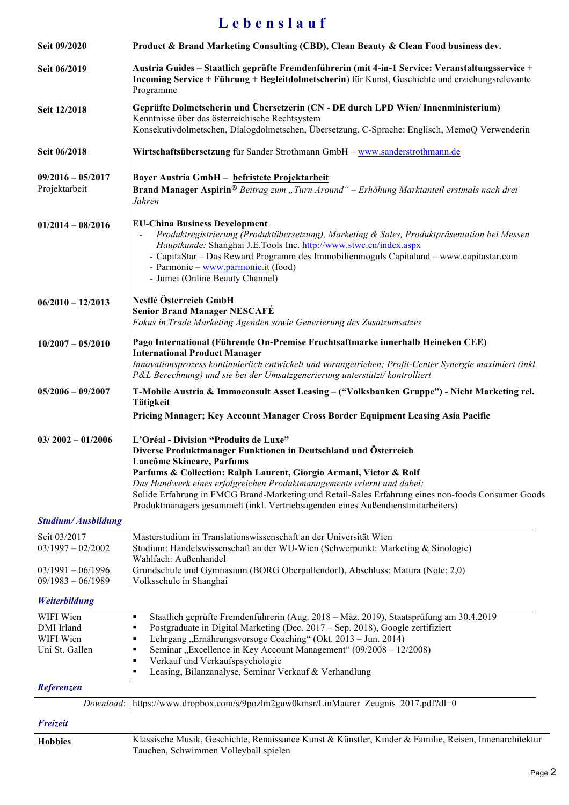## **L e b e n s l a u f**

| Seit 09/2020                                           | Product & Brand Marketing Consulting (CBD), Clean Beauty & Clean Food business dev.                                                                                                                                                                                                                                                                                                                                                                                             |
|--------------------------------------------------------|---------------------------------------------------------------------------------------------------------------------------------------------------------------------------------------------------------------------------------------------------------------------------------------------------------------------------------------------------------------------------------------------------------------------------------------------------------------------------------|
| Seit 06/2019                                           | Austria Guides – Staatlich geprüfte Fremdenführerin (mit 4-in-1 Service: Veranstaltungsservice +<br>Incoming Service + Führung + Begleitdolmetscherin) für Kunst, Geschichte und erziehungsrelevante<br>Programme                                                                                                                                                                                                                                                               |
| Seit 12/2018                                           | Geprüfte Dolmetscherin und Übersetzerin (CN - DE durch LPD Wien/ Innenministerium)<br>Kenntnisse über das österreichische Rechtsystem<br>Konsekutivdolmetschen, Dialogdolmetschen, Übersetzung. C-Sprache: Englisch, MemoQ Verwenderin                                                                                                                                                                                                                                          |
| Seit 06/2018                                           | Wirtschaftsübersetzung für Sander Strothmann GmbH - www.sanderstrothmann.de                                                                                                                                                                                                                                                                                                                                                                                                     |
| $09/2016 - 05/2017$<br>Projektarbeit                   | Bayer Austria GmbH - befristete Projektarbeit<br>Brand Manager Aspirin® Beitrag zum "Turn Around" - Erhöhung Marktanteil erstmals nach drei<br>Jahren                                                                                                                                                                                                                                                                                                                           |
| $01/2014 - 08/2016$                                    | <b>EU-China Business Development</b><br>Produktregistrierung (Produktübersetzung), Marketing & Sales, Produktpräsentation bei Messen<br>Hauptkunde: Shanghai J.E.Tools Inc. http://www.stwc.cn/index.aspx<br>- CapitaStar – Das Reward Programm des Immobilienmoguls Capitaland – www.capitastar.com<br>- Parmonie - www.parmonie.it (food)<br>- Jumei (Online Beauty Channel)                                                                                                  |
| $06/2010 - 12/2013$                                    | Nestlé Österreich GmbH<br><b>Senior Brand Manager NESCAFÉ</b><br>Fokus in Trade Marketing Agenden sowie Generierung des Zusatzumsatzes                                                                                                                                                                                                                                                                                                                                          |
| $10/2007 - 05/2010$                                    | Pago International (Führende On-Premise Fruchtsaftmarke innerhalb Heineken CEE)<br><b>International Product Manager</b><br>Innovationsprozess kontinuierlich entwickelt und vorangetrieben; Profit-Center Synergie maximiert (inkl.<br>P&L Berechnung) und sie bei der Umsatzgenerierung unterstützt/kontrolliert                                                                                                                                                               |
| $05/2006 - 09/2007$                                    | T-Mobile Austria & Immoconsult Asset Leasing - ("Volksbanken Gruppe") - Nicht Marketing rel.<br><b>Tätigkeit</b><br>Pricing Manager; Key Account Manager Cross Border Equipment Leasing Asia Pacific                                                                                                                                                                                                                                                                            |
| $03/2002 - 01/2006$                                    | L'Oréal - Division "Produits de Luxe"<br>Diverse Produktmanager Funktionen in Deutschland und Österreich<br>Lancôme Skincare, Parfums<br>Parfums & Collection: Ralph Laurent, Giorgio Armani, Victor & Rolf<br>Das Handwerk eines erfolgreichen Produktmanagements erlernt und dabei:<br>Solide Erfahrung in FMCG Brand-Marketing und Retail-Sales Erfahrung eines non-foods Consumer Goods<br>Produktmanagers gesammelt (inkl. Vertriebsagenden eines Außendienstmitarbeiters) |
| <b>Studium/Ausbildung</b>                              |                                                                                                                                                                                                                                                                                                                                                                                                                                                                                 |
| Seit 03/2017<br>$03/1997 - 02/2002$                    | Masterstudium in Translationswissenschaft an der Universität Wien<br>Studium: Handelswissenschaft an der WU-Wien (Schwerpunkt: Marketing & Sinologie)<br>Wahlfach: Außenhandel                                                                                                                                                                                                                                                                                                  |
| $03/1991 - 06/1996$<br>$09/1983 - 06/1989$             | Grundschule und Gymnasium (BORG Oberpullendorf), Abschluss: Matura (Note: 2,0)<br>Volksschule in Shanghai                                                                                                                                                                                                                                                                                                                                                                       |
| Weiterbildung                                          |                                                                                                                                                                                                                                                                                                                                                                                                                                                                                 |
| WIFI Wien<br>DMI Irland<br>WIFI Wien<br>Uni St. Gallen | Staatlich geprüfte Fremdenführerin (Aug. 2018 – Mäz. 2019), Staatsprüfung am 30.4.2019<br>٠<br>Postgraduate in Digital Marketing (Dec. 2017 – Sep. 2018), Google zertifiziert<br>$\blacksquare$<br>Lehrgang, Ernährungsvorsoge Coaching" (Okt. 2013 – Jun. 2014)<br>٠<br>Seminar "Excellence in Key Account Management" (09/2008 – 12/2008)<br>٠<br>Verkauf und Verkaufspsychologie<br>٠<br>Leasing, Bilanzanalyse, Seminar Verkauf & Verhandlung<br>٠                          |
| Referenzen                                             |                                                                                                                                                                                                                                                                                                                                                                                                                                                                                 |
|                                                        | Download: https://www.dropbox.com/s/9pozlm2guw0kmsr/LinMaurer Zeugnis 2017.pdf?dl=0                                                                                                                                                                                                                                                                                                                                                                                             |
| <b>Freizeit</b>                                        |                                                                                                                                                                                                                                                                                                                                                                                                                                                                                 |
| <b>Hobbies</b>                                         | Klassische Musik, Geschichte, Renaissance Kunst & Künstler, Kinder & Familie, Reisen, Innenarchitektur<br>Tauchen, Schwimmen Volleyball spielen                                                                                                                                                                                                                                                                                                                                 |